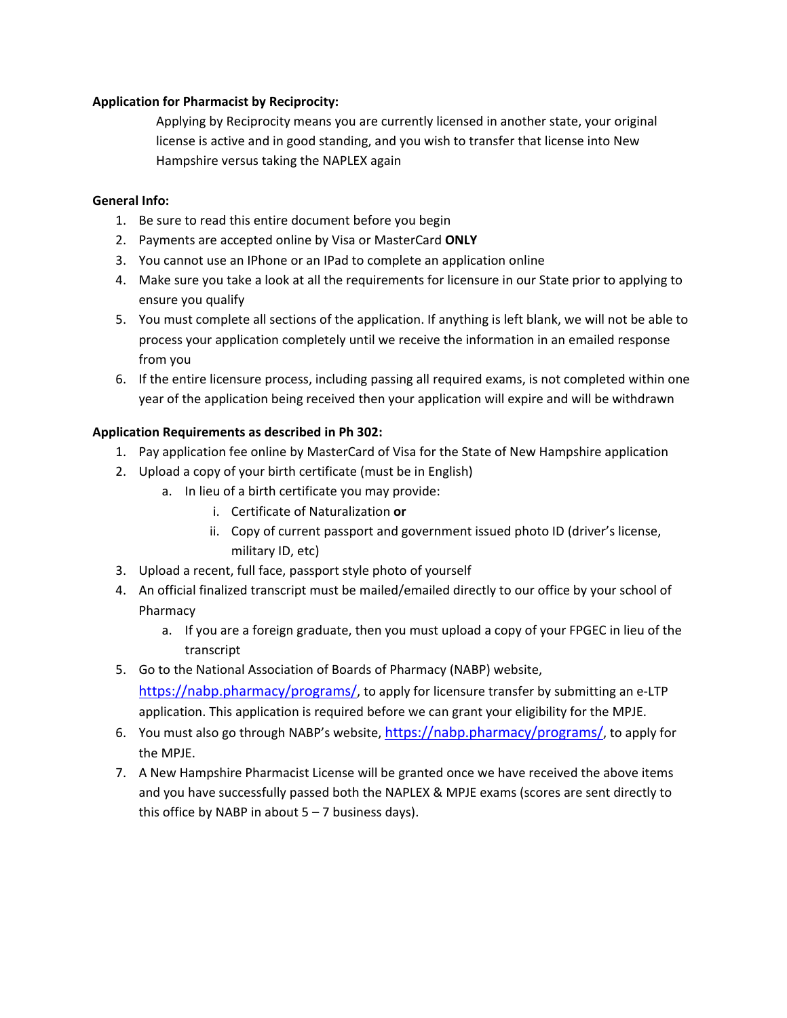## **Application for Pharmacist by Reciprocity:**

Applying by Reciprocity means you are currently licensed in another state, your original license is active and in good standing, and you wish to transfer that license into New Hampshire versus taking the NAPLEX again

## **General Info:**

- 1. Be sure to read this entire document before you begin
- 2. Payments are accepted online by Visa or MasterCard **ONLY**
- 3. You cannot use an IPhone or an IPad to complete an application online
- 4. Make sure you take a look at all the requirements for licensure in our State prior to applying to ensure you qualify
- 5. You must complete all sections of the application. If anything is left blank, we will not be able to process your application completely until we receive the information in an emailed response from you
- 6. If the entire licensure process, including passing all required exams, is not completed within one year of the application being received then your application will expire and will be withdrawn

## **Application Requirements as described in Ph 302:**

- 1. Pay application fee online by MasterCard of Visa for the State of New Hampshire application
- 2. Upload a copy of your birth certificate (must be in English)
	- a. In lieu of a birth certificate you may provide:
		- i. Certificate of Naturalization **or**
		- ii. Copy of current passport and government issued photo ID (driver's license, military ID, etc)
- 3. Upload a recent, full face, passport style photo of yourself
- 4. An official finalized transcript must be mailed/emailed directly to our office by your school of Pharmacy
	- a. If you are a foreign graduate, then you must upload a copy of your FPGEC in lieu of the transcript
- 5. Go to the National Association of Boards of Pharmacy (NABP) website, https://nabp.pharmacy/programs/, to apply for licensure transfer by submitting an e-LTP application. This application is required before we can grant your eligibility for the MPJE.
- 6. You must also go through NABP's website,  $\frac{https://nabp.pharmacy/programs/">https://nabp.pharmacy/programs/}$ , to apply for the MPJE.
- 7. A New Hampshire Pharmacist License will be granted once we have received the above items and you have successfully passed both the NAPLEX & MPJE exams (scores are sent directly to this office by NABP in about  $5 - 7$  business days).